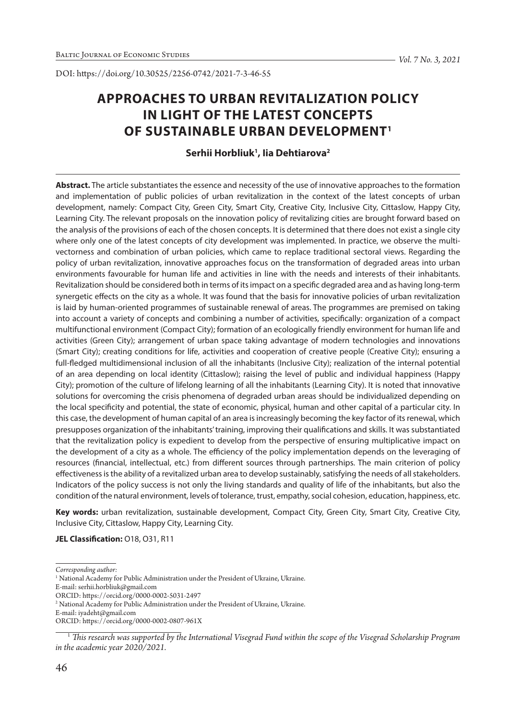DOI: https://doi.org/10.30525/2256-0742/2021-7-3-46-55

# **APPROACHES TO URBAN REVITALIZATION POLICY IN LIGHT OF THE LATEST CONCEPTS OF SUSTAINABLE URBAN DEVELOPMENT1**

# **Serhii Horbliuk1 , Iia Dehtiarova2**

**Abstract.** The article substantiates the essence and necessity of the use of innovative approaches to the formation and implementation of public policies of urban revitalization in the context of the latest concepts of urban development, namely: Compact City, Green City, Smart City, Creative City, Inclusive City, Cittaslow, Happy City, Learning City. The relevant proposals on the innovation policy of revitalizing cities are brought forward based on the analysis of the provisions of each of the chosen concepts. It is determined that there does not exist a single city where only one of the latest concepts of city development was implemented. In practice, we observe the multivectorness and combination of urban policies, which came to replace traditional sectoral views. Regarding the policy of urban revitalization, innovative approaches focus on the transformation of degraded areas into urban environments favourable for human life and activities in line with the needs and interests of their inhabitants. Revitalization should be considered both in terms of its impact on a specific degraded area and as having long-term synergetic effects on the city as a whole. It was found that the basis for innovative policies of urban revitalization is laid by human-oriented programmes of sustainable renewal of areas. The programmes are premised on taking into account a variety of concepts and combining a number of activities, specifically: organization of a compact multifunctional environment (Compact City); formation of an ecologically friendly environment for human life and activities (Green City); arrangement of urban space taking advantage of modern technologies and innovations (Smart City); creating conditions for life, activities and cooperation of creative people (Creative City); ensuring a full-fledged multidimensional inclusion of all the inhabitants (Inclusive City); realization of the internal potential of an area depending on local identity (Cittaslow); raising the level of public and individual happiness (Happy City); promotion of the culture of lifelong learning of all the inhabitants (Learning City). It is noted that innovative solutions for overcoming the crisis phenomena of degraded urban areas should be individualized depending on the local specificity and potential, the state of economic, physical, human and other capital of a particular city. In this case, the development of human capital of an area is increasingly becoming the key factor of its renewal, which presupposes organization of the inhabitants' training, improving their qualifications and skills. It was substantiated that the revitalization policy is expedient to develop from the perspective of ensuring multiplicative impact on the development of a city as a whole. The efficiency of the policy implementation depends on the leveraging of resources (financial, intellectual, etc.) from different sources through partnerships. The main criterion of policy effectiveness is the ability of a revitalized urban area to develop sustainably, satisfying the needs of all stakeholders. Indicators of the policy success is not only the living standards and quality of life of the inhabitants, but also the condition of the natural environment, levels of tolerance, trust, empathy, social cohesion, education, happiness, etc.

**Key words:** urban revitalization, sustainable development, Compact City, Green City, Smart City, Creative City, Inclusive City, Cittaslow, Happy City, Learning City.

**JEL Classification:** O18, O31, R11

*Corresponding author:*

<sup>&</sup>lt;sup>1</sup> National Academy for Public Administration under the President of Ukraine, Ukraine.

E-mail: serhii.horbliuk@gmail.com ORCID: https://orcid.org/0000-0002-5031-2497

<sup>&</sup>lt;sup>2</sup> National Academy for Public Administration under the President of Ukraine, Ukraine.

E-mail: iyadeht@gmail.com

ORCID: https://orcid.org/0000-0002-0807-961X

<sup>1</sup> *This research was supported by the International Visegrad Fund within the scope of the Visegrad Scholarship Program in the academic year 2020/2021.*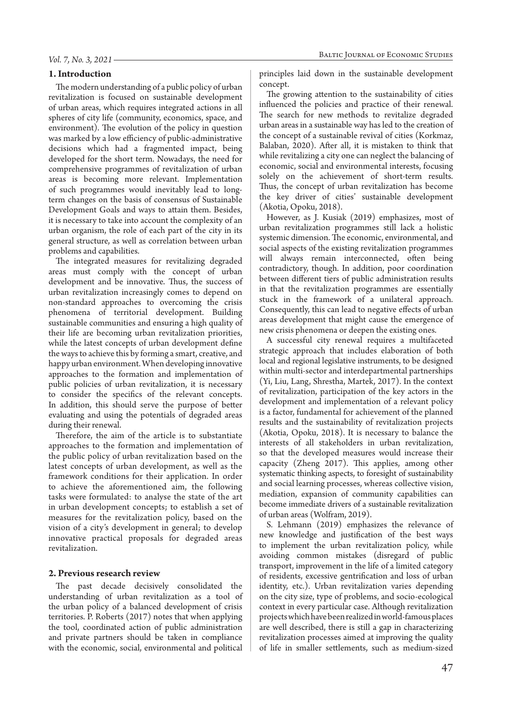#### *Vol. 7, No. 3, 2021*

#### **1. Introduction**

The modern understanding of a public policy of urban revitalization is focused on sustainable development of urban areas, which requires integrated actions in all spheres of city life (community, economics, space, and environment). The evolution of the policy in question was marked by a low efficiency of public-administrative decisions which had a fragmented impact, being developed for the short term. Nowadays, the need for comprehensive programmes of revitalization of urban areas is becoming more relevant. Implementation of such programmes would inevitably lead to longterm changes on the basis of consensus of Sustainable Development Goals and ways to attain them. Besides, it is necessary to take into account the complexity of an urban organism, the role of each part of the city in its general structure, as well as correlation between urban problems and capabilities.

The integrated measures for revitalizing degraded areas must comply with the concept of urban development and be innovative. Thus, the success of urban revitalization increasingly comes to depend on non-standard approaches to overcoming the crisis phenomena of territorial development. Building sustainable communities and ensuring a high quality of their life are becoming urban revitalization priorities, while the latest concepts of urban development define the ways to achieve this by forming a smart, creative, and happy urban environment. When developing innovative approaches to the formation and implementation of public policies of urban revitalization, it is necessary to consider the specifics of the relevant concepts. In addition, this should serve the purpose of better evaluating and using the potentials of degraded areas during their renewal.

Therefore, the aim of the article is to substantiate approaches to the formation and implementation of the public policy of urban revitalization based on the latest concepts of urban development, as well as the framework conditions for their application. In order to achieve the aforementioned aim, the following tasks were formulated: to analyse the state of the art in urban development concepts; to establish a set of measures for the revitalization policy, based on the vision of a city's development in general; to develop innovative practical proposals for degraded areas revitalization.

#### **2. Previous research review**

The past decade decisively consolidated the understanding of urban revitalization as a tool of the urban policy of a balanced development of crisis territories. P. Roberts (2017) notes that when applying the tool, coordinated action of public administration and private partners should be taken in compliance with the economic, social, environmental and political

principles laid down in the sustainable development concept.

The growing attention to the sustainability of cities influenced the policies and practice of their renewal. The search for new methods to revitalize degraded urban areas in a sustainable way has led to the creation of the concept of a sustainable revival of cities (Korkmaz, Balaban, 2020). After all, it is mistaken to think that while revitalizing a city one can neglect the balancing of economic, social and environmental interests, focusing solely on the achievement of short-term results. Thus, the concept of urban revitalization has become the key driver of cities' sustainable development (Akotia, Opoku, 2018).

However, as J. Kusiak (2019) emphasizes, most of urban revitalization programmes still lack a holistic systemic dimension. The economic, environmental, and social aspects of the existing revitalization programmes will always remain interconnected, often being contradictory, though. In addition, poor coordination between different tiers of public administration results in that the revitalization programmes are essentially stuck in the framework of a unilateral approach. Consequently, this can lead to negative effects of urban areas development that might cause the emergence of new crisis phenomena or deepen the existing ones.

A successful city renewal requires a multifaceted strategic approach that includes elaboration of both local and regional legislative instruments, to be designed within multi-sector and interdepartmental partnerships (Yi, Liu, Lang, Shrestha, Martek, 2017). In the context of revitalization, participation of the key actors in the development and implementation of a relevant policy is a factor, fundamental for achievement of the planned results and the sustainability of revitalization projects (Akotia, Opoku, 2018). It is necessary to balance the interests of all stakeholders in urban revitalization, so that the developed measures would increase their capacity (Zheng 2017). This applies, among other systematic thinking aspects, to foresight of sustainability and social learning processes, whereas collective vision, mediation, expansion of community capabilities can become immediate drivers of a sustainable revitalization of urban areas (Wolfram, 2019).

S. Lehmann (2019) emphasizes the relevance of new knowledge and justification of the best ways to implement the urban revitalization policy, while avoiding common mistakes (disregard of public transport, improvement in the life of a limited category of residents, excessive gentrification and loss of urban identity, etc.). Urban revitalization varies depending on the city size, type of problems, and socio-ecological context in every particular case. Although revitalization projects which have been realized in world-famous places are well described, there is still a gap in characterizing revitalization processes aimed at improving the quality of life in smaller settlements, such as medium-sized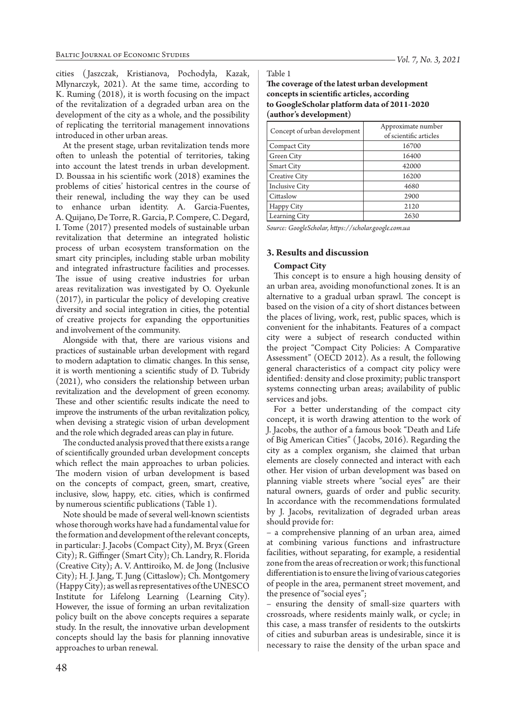*Vol. 7, No. 3, 2021*

cities ( Jaszczak, Kristianova, Pochodyła, Kazak, Młynarczyk, 2021). At the same time, according to K. Ruming (2018), it is worth focusing on the impact of the revitalization of a degraded urban area on the development of the city as a whole, and the possibility of replicating the territorial management innovations introduced in other urban areas.

At the present stage, urban revitalization tends more often to unleash the potential of territories, taking into account the latest trends in urban development. D. Boussaa in his scientific work (2018) examines the problems of cities' historical centres in the course of their renewal, including the way they can be used to enhance urban identity. A. Garcia-Fuentes, A. Quijano, De Torre, R. Garcia, P. Compere, C. Degard, I. Tome (2017) presented models of sustainable urban revitalization that determine an integrated holistic process of urban ecosystem transformation on the smart city principles, including stable urban mobility and integrated infrastructure facilities and processes. The issue of using creative industries for urban areas revitalization was investigated by O. Oyekunle (2017), in particular the policy of developing creative diversity and social integration in cities, the potential of creative projects for expanding the opportunities and involvement of the community.

Alongside with that, there are various visions and practices of sustainable urban development with regard to modern adaptation to climatic changes. In this sense, it is worth mentioning a scientific study of D. Tubridy (2021), who considers the relationship between urban revitalization and the development of green economy. These and other scientific results indicate the need to improve the instruments of the urban revitalization policy, when devising a strategic vision of urban development and the role which degraded areas can play in future.

The conducted analysis proved that there exists a range of scientifically grounded urban development concepts which reflect the main approaches to urban policies. The modern vision of urban development is based on the concepts of compact, green, smart, creative, inclusive, slow, happy, etc. cities, which is confirmed by numerous scientific publications (Table 1).

Note should be made of several well-known scientists whose thorough works have had a fundamental value for the formation and development of the relevant concepts, in particular: J. Jacobs (Compact City), M. Bryx (Green City); R. Giffinger (Smart City); Сh. Landry, R. Florida (Creative City); A. V. Anttiroiko, M. de Jong (Inclusive City); H. J. Jang, T. Jung (Cittaslow); Ch. Montgomery (Happy City); as well as representatives of the UNESCO Institute for Lifelong Learning (Learning City). However, the issue of forming an urban revitalization policy built on the above concepts requires a separate study. In the result, the innovative urban development concepts should lay the basis for planning innovative approaches to urban renewal.

Table 1

**The coverage of the latest urban development concepts in scientific articles, according to GoogleScholar platform data of 2011-2020 (author's development)**

| Concept of urban development | Approximate number     |  |
|------------------------------|------------------------|--|
|                              | of scientific articles |  |
| Compact City                 | 16700                  |  |
| Green City                   | 16400                  |  |
| Smart City                   | 42000                  |  |
| Creative City                | 16200                  |  |
| <b>Inclusive City</b>        | 4680                   |  |
| Cittaslow                    | 2900                   |  |
| Happy City                   | 2120                   |  |
| Learning City                | 2630                   |  |

*Sourсe: GoogleScholar, https://scholar.google.com.ua* 

#### **3. Results and discussion**

#### **Compact City**

This concept is to ensure a high housing density of an urban area, avoiding monofunctional zones. It is an alternative to a gradual urban sprawl. The concept is based on the vision of a city of short distances between the places of living, work, rest, public spaces, which is convenient for the inhabitants. Features of a compact city were a subject of research conducted within the project "Compact City Policies: A Comparative Assessment" (OECD 2012). As a result, the following general characteristics of a compact city policy were identified: density and close proximity; public transport systems connecting urban areas; availability of public services and jobs.

For a better understanding of the compact city concept, it is worth drawing attention to the work of J. Jacobs, the author of a famous book "Death and Life of Big American Cities" ( Jacobs, 2016). Regarding the city as a complex organism, she claimed that urban elements are closely connected and interact with each other. Her vision of urban development was based on planning viable streets where "social eyes" are their natural owners, guards of order and public security. In accordance with the recommendations formulated by J. Jacobs, revitalization of degraded urban areas should provide for:

– a comprehensive planning of an urban area, aimed at combining various functions and infrastructure facilities, without separating, for example, a residential zone from the areas of recreation or work; this functional differentiation is to ensure the living of various categories of people in the area, permanent street movement, and the presence of "social eyes";

– ensuring the density of small-size quarters with crossroads, where residents mainly walk, or cycle; in this case, a mass transfer of residents to the outskirts of cities and suburban areas is undesirable, since it is necessary to raise the density of the urban space and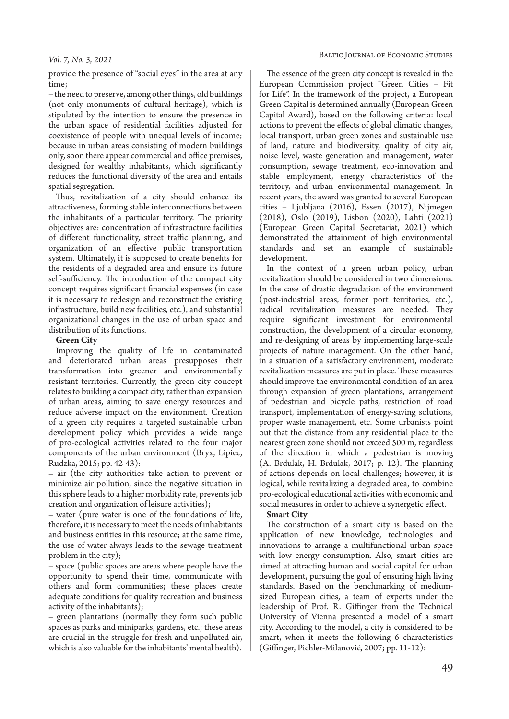provide the presence of "social eyes" in the area at any time;

– the need to preserve, among other things, old buildings (not only monuments of cultural heritage), which is stipulated by the intention to ensure the presence in the urban space of residential facilities adjusted for coexistence of people with unequal levels of income; because in urban areas consisting of modern buildings only, soon there appear commercial and office premises, designed for wealthy inhabitants, which significantly reduces the functional diversity of the area and entails spatial segregation.

Thus, revitalization of a city should enhance its attractiveness, forming stable interconnections between the inhabitants of a particular territory. The priority objectives are: concentration of infrastructure facilities of different functionality, street traffic planning, and organization of an effective public transportation system. Ultimately, it is supposed to create benefits for the residents of a degraded area and ensure its future self-sufficiency. The introduction of the compact city concept requires significant financial expenses (in case it is necessary to redesign and reconstruct the existing infrastructure, build new facilities, etc.), and substantial organizational changes in the use of urban space and distribution of its functions.

#### **Green City**

Improving the quality of life in contaminated and deteriorated urban areas presupposes their transformation into greener and environmentally resistant territories. Currently, the green city concept relates to building a compact city, rather than expansion of urban areas, aiming to save energy resources and reduce adverse impact on the environment. Creation of a green city requires a targeted sustainable urban development policy which provides a wide range of pro-ecological activities related to the four major components of the urban environment (Bryx, Lipiec, Rudzka, 2015; pp. 42-43):

– air (the city authorities take action to prevent or minimize air pollution, since the negative situation in this sphere leads to a higher morbidity rate, prevents job creation and organization of leisure activities);

– water (pure water is one of the foundations of life, therefore, it is necessary to meet the needs of inhabitants and business entities in this resource; at the same time, the use of water always leads to the sewage treatment problem in the city);

– space (public spaces are areas where people have the opportunity to spend their time, communicate with others and form communities; these places create adequate conditions for quality recreation and business activity of the inhabitants);

– green plantations (normally they form such public spaces as parks and miniparks, gardens, etc.; these areas are crucial in the struggle for fresh and unpolluted air, which is also valuable for the inhabitants' mental health).

The essence of the green city concept is revealed in the European Commission project "Green Cities – Fit for Life". In the framework of the project, a European Green Capital is determined annually (European Green Capital Award), based on the following criteria: local actions to prevent the effects of global climatic changes, local transport, urban green zones and sustainable use of land, nature and biodiversity, quality of city air, noise level, waste generation and management, water consumption, sewage treatment, eco-innovation and stable employment, energy characteristics of the territory, and urban environmental management. In recent years, the award was granted to several European cities – Ljubljana (2016), Essen (2017), Nijmegen (2018), Oslo (2019), Lisbon (2020), Lahti (2021) (European Green Capital Secretariat, 2021) which demonstrated the attainment of high environmental standards and set an example of sustainable development.

In the context of a green urban policy, urban revitalization should be considered in two dimensions. In the case of drastic degradation of the environment (post-industrial areas, former port territories, etc.), radical revitalization measures are needed. They require significant investment for environmental construction, the development of a circular economy, and re-designing of areas by implementing large-scale projects of nature management. On the other hand, in a situation of a satisfactory environment, moderate revitalization measures are put in place. These measures should improve the environmental condition of an area through expansion of green plantations, arrangement of pedestrian and bicycle paths, restriction of road transport, implementation of energy-saving solutions, proper waste management, etc. Some urbanists point out that the distance from any residential place to the nearest green zone should not exceed 500 m, regardless of the direction in which a pedestrian is moving (A. Brdulak, H. Brdulak, 2017; p. 12). The planning of actions depends on local challenges; however, it is logical, while revitalizing a degraded area, to combine pro-ecological educational activities with economic and social measures in order to achieve a synergetic effect.

#### **Smart City**

The construction of a smart city is based on the application of new knowledge, technologies and innovations to arrange a multifunctional urban space with low energy consumption. Also, smart cities are aimed at attracting human and social capital for urban development, pursuing the goal of ensuring high living standards. Based on the benchmarking of mediumsized European cities, a team of experts under the leadership of Prof. R. Giffinger from the Technical University of Vienna presented a model of a smart city. According to the model, a city is considered to be smart, when it meets the following 6 characteristics (Giffinger, Pichler-Milanović, 2007; pp. 11-12):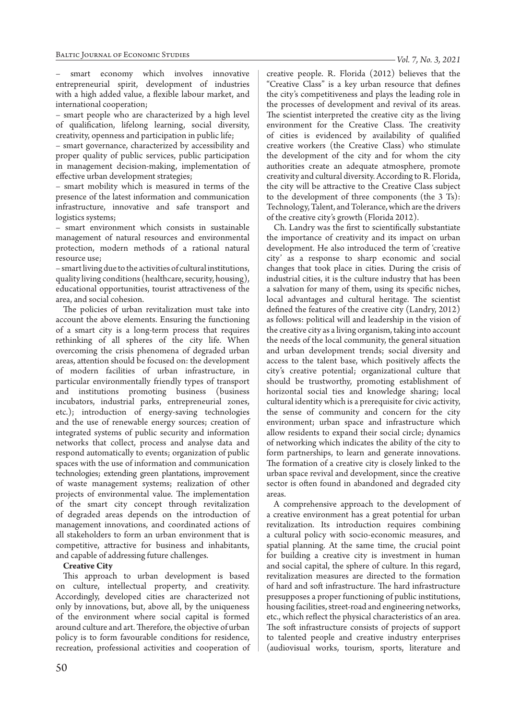– smart economy which involves innovative entrepreneurial spirit, development of industries with a high added value, a flexible labour market, and international cooperation;

– smart people who are characterized by a high level of qualification, lifelong learning, social diversity, creativity, openness and participation in public life;

– smart governance, characterized by accessibility and proper quality of public services, public participation in management decision-making, implementation of effective urban development strategies;

– smart mobility which is measured in terms of the presence of the latest information and communication infrastructure, innovative and safe transport and logistics systems;

– smart environment which consists in sustainable management of natural resources and environmental protection, modern methods of a rational natural resource use;

– smart living due to the activities of cultural institutions, quality living conditions (healthcare, security, housing), educational opportunities, tourist attractiveness of the area, and social cohesion.

The policies of urban revitalization must take into account the above elements. Ensuring the functioning of a smart city is a long-term process that requires rethinking of all spheres of the city life. When overcoming the crisis phenomena of degraded urban areas, attention should be focused on: the development of modern facilities of urban infrastructure, in particular environmentally friendly types of transport and institutions promoting business (business incubators, industrial parks, entrepreneurial zones, etc.); introduction of energy-saving technologies and the use of renewable energy sources; creation of integrated systems of public security and information networks that collect, process and analyse data and respond automatically to events; organization of public spaces with the use of information and communication technologies; extending green plantations, improvement of waste management systems; realization of other projects of environmental value. The implementation of the smart city concept through revitalization of degraded areas depends on the introduction of management innovations, and coordinated actions of all stakeholders to form an urban environment that is competitive, attractive for business and inhabitants, and capable of addressing future challenges.

#### **Creative City**

This approach to urban development is based on culture, intellectual property, and creativity. Accordingly, developed cities are characterized not only by innovations, but, above all, by the uniqueness of the environment where social capital is formed around culture and art. Therefore, the objective of urban policy is to form favourable conditions for residence, recreation, professional activities and cooperation of creative people. R. Florida (2012) believes that the "Creative Class" is a key urban resource that defines the city's competitiveness and plays the leading role in the processes of development and revival of its areas. The scientist interpreted the creative city as the living environment for the Creative Class. The creativity of cities is evidenced by availability of qualified creative workers (the Creative Class) who stimulate the development of the city and for whom the city authorities create an adequate atmosphere, promote creativity and cultural diversity. According to R. Florida, the city will be attractive to the Creative Class subject to the development of three components (the 3 Ts): Technology, Talent, and Tolerance, which are the drivers of the creative city's growth (Florida 2012).

Ch. Landry was the first to scientifically substantiate the importance of creativity and its impact on urban development. He also introduced the term of 'creative city' as a response to sharp economic and social changes that took place in cities. During the crisis of industrial cities, it is the culture industry that has been a salvation for many of them, using its specific niches, local advantages and cultural heritage. The scientist defined the features of the creative city (Landry, 2012) as follows: political will and leadership in the vision of the creative city as a living organism, taking into account the needs of the local community, the general situation and urban development trends; social diversity and access to the talent base, which positively affects the city's creative potential; organizational culture that should be trustworthy, promoting establishment of horizontal social ties and knowledge sharing; local cultural identity which is a prerequisite for civic activity, the sense of community and concern for the city environment; urban space and infrastructure which allow residents to expand their social circle; dynamics of networking which indicates the ability of the city to form partnerships, to learn and generate innovations. The formation of a creative city is closely linked to the urban space revival and development, since the creative sector is often found in abandoned and degraded city areas.

A comprehensive approach to the development of a creative environment has a great potential for urban revitalization. Its introduction requires combining a cultural policy with socio-economic measures, and spatial planning. At the same time, the crucial point for building a creative city is investment in human and social capital, the sphere of culture. In this regard, revitalization measures are directed to the formation of hard and soft infrastructure. The hard infrastructure presupposes a proper functioning of public institutions, housing facilities, street-road and engineering networks, etc., which reflect the physical characteristics of an area. The soft infrastructure consists of projects of support to talented people and creative industry enterprises (audiovisual works, tourism, sports, literature and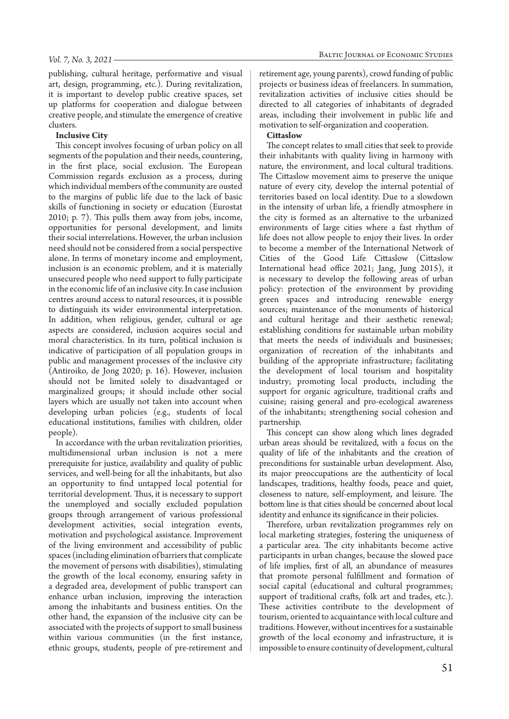publishing, cultural heritage, performative and visual art, design, programming, etc.). During revitalization, it is important to develop public creative spaces, set up platforms for cooperation and dialogue between creative people, and stimulate the emergence of creative clusters.

#### **Inclusive City**

This concept involves focusing of urban policy on all segments of the population and their needs, countering, in the first place, social exclusion. The European Commission regards exclusion as a process, during which individual members of the community are ousted to the margins of public life due to the lack of basic skills of functioning in society or education (Eurostat 2010; p. 7). This pulls them away from jobs, income, opportunities for personal development, and limits their social interrelations. However, the urban inclusion need should not be considered from a social perspective alone. In terms of monetary income and employment, inclusion is an economic problem, and it is materially unsecured people who need support to fully participate in the economic life of an inclusive city. In case inclusion centres around access to natural resources, it is possible to distinguish its wider environmental interpretation. In addition, when religious, gender, cultural or age aspects are considered, inclusion acquires social and moral characteristics. In its turn, political inclusion is indicative of participation of all population groups in public and management processes of the inclusive city (Antiroiko, de Jong 2020; p. 16). However, inclusion should not be limited solely to disadvantaged or marginalized groups; it should include other social layers which are usually not taken into account when developing urban policies (e.g., students of local educational institutions, families with children, older people).

In accordance with the urban revitalization priorities, multidimensional urban inclusion is not a mere prerequisite for justice, availability and quality of public services, and well-being for all the inhabitants, but also an opportunity to find untapped local potential for territorial development. Thus, it is necessary to support the unemployed and socially excluded population groups through arrangement of various professional development activities, social integration events, motivation and psychological assistance. Improvement of the living environment and accessibility of public spaces (including elimination of barriers that complicate the movement of persons with disabilities), stimulating the growth of the local economy, ensuring safety in a degraded area, development of public transport can enhance urban inclusion, improving the interaction among the inhabitants and business entities. On the other hand, the expansion of the inclusive city can be associated with the projects of support to small business within various communities (in the first instance, ethnic groups, students, people of pre-retirement and

retirement age, young parents), crowd funding of public projects or business ideas of freelancers. In summation, revitalization activities of inclusive cities should be directed to all categories of inhabitants of degraded areas, including their involvement in public life and motivation to self-organization and cooperation.

#### **Cittaslow**

The concept relates to small cities that seek to provide their inhabitants with quality living in harmony with nature, the environment, and local cultural traditions. The Cittaslow movement aims to preserve the unique nature of every city, develop the internal potential of territories based on local identity. Due to a slowdown in the intensity of urban life, a friendly atmosphere in the city is formed as an alternative to the urbanized environments of large cities where a fast rhythm of life does not allow people to enjoy their lives. In order to become a member of the International Network of Cities of the Good Life Cittaslow (Cittaslow International head office 2021; Jang, Jung 2015), it is necessary to develop the following areas of urban policy: protection of the environment by providing green spaces and introducing renewable energy sources; maintenance of the monuments of historical and cultural heritage and their aesthetic renewal; establishing conditions for sustainable urban mobility that meets the needs of individuals and businesses; organization of recreation of the inhabitants and building of the appropriate infrastructure; facilitating the development of local tourism and hospitality industry; promoting local products, including the support for organic agriculture, traditional crafts and cuisine; raising general and pro-ecological awareness of the inhabitants; strengthening social cohesion and partnership.

This concept can show along which lines degraded urban areas should be revitalized, with a focus on the quality of life of the inhabitants and the creation of preconditions for sustainable urban development. Also, its major preoccupations are the authenticity of local landscapes, traditions, healthy foods, peace and quiet, closeness to nature, self-employment, and leisure. The bottom line is that cities should be concerned about local identity and enhance its significance in their policies.

Therefore, urban revitalization programmes rely on local marketing strategies, fostering the uniqueness of a particular area. The city inhabitants become active participants in urban changes, because the slowed pace of life implies, first of all, an abundance of measures that promote personal fulfillment and formation of social capital (educational and cultural programmes; support of traditional crafts, folk art and trades, etc.). These activities contribute to the development of tourism, oriented to acquaintance with local culture and traditions. However, without incentives for a sustainable growth of the local economy and infrastructure, it is impossible to ensure continuity of development, cultural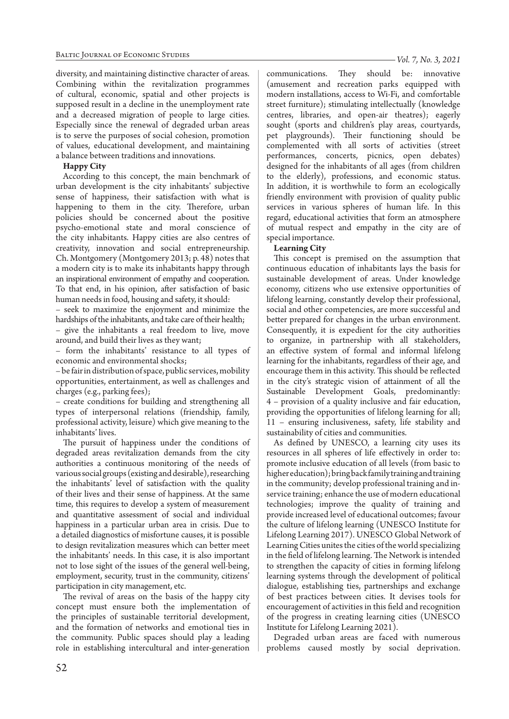diversity, and maintaining distinctive character of areas. Combining within the revitalization programmes of cultural, economic, spatial and other projects is supposed result in a decline in the unemployment rate and a decreased migration of people to large cities. Especially since the renewal of degraded urban areas is to serve the purposes of social cohesion, promotion of values, educational development, and maintaining a balance between traditions and innovations.

### **Happy City**

According to this concept, the main benchmark of urban development is the city inhabitants' subjective sense of happiness, their satisfaction with what is happening to them in the city. Therefore, urban policies should be concerned about the positive psycho-emotional state and moral conscience of the city inhabitants. Happy cities are also centres of creativity, innovation and social entrepreneurship. Ch. Montgomery (Montgomery 2013; p. 48) notes that a modern city is to make its inhabitants happy through an inspirational environment of empathy and cooperation. To that end, in his opinion, after satisfaction of basic human needs in food, housing and safety, it should:

– seek to maximize the enjoyment and minimize the hardships of the inhabitants, and take care of their health;

– give the inhabitants a real freedom to live, move around, and build their lives as they want;

– form the inhabitants' resistance to all types of economic and environmental shocks;

– be fair in distribution of space, public services, mobility opportunities, entertainment, as well as challenges and charges (e.g., parking fees);

– create conditions for building and strengthening all types of interpersonal relations (friendship, family, professional activity, leisure) which give meaning to the inhabitants' lives.

The pursuit of happiness under the conditions of degraded areas revitalization demands from the city authorities a continuous monitoring of the needs of various social groups (existing and desirable), researching the inhabitants' level of satisfaction with the quality of their lives and their sense of happiness. At the same time, this requires to develop a system of measurement and quantitative assessment of social and individual happiness in a particular urban area in crisis. Due to a detailed diagnostics of misfortune causes, it is possible to design revitalization measures which can better meet the inhabitants' needs. In this case, it is also important not to lose sight of the issues of the general well-being, employment, security, trust in the community, citizens' participation in city management, etc.

The revival of areas on the basis of the happy city concept must ensure both the implementation of the principles of sustainable territorial development, and the formation of networks and emotional ties in the community. Public spaces should play a leading role in establishing intercultural and inter-generation *Vol. 7, No. 3, 2021*

communications. They should be: innovative (amusement and recreation parks equipped with modern installations, access to Wi-Fi, and comfortable street furniture); stimulating intellectually (knowledge centres, libraries, and open-air theatres); eagerly sought (sports and children's play areas, courtyards, pet playgrounds). Their functioning should be complemented with all sorts of activities (street performances, concerts, picnics, open debates) designed for the inhabitants of all ages (from children to the elderly), professions, and economic status. In addition, it is worthwhile to form an ecologically friendly environment with provision of quality public services in various spheres of human life. In this regard, educational activities that form an atmosphere of mutual respect and empathy in the city are of special importance.

## **Learning City**

This concept is premised on the assumption that continuous education of inhabitants lays the basis for sustainable development of areas. Under knowledge economy, citizens who use extensive opportunities of lifelong learning, constantly develop their professional, social and other competencies, are more successful and better prepared for changes in the urban environment. Consequently, it is expedient for the city authorities to organize, in partnership with all stakeholders, an effective system of formal and informal lifelong learning for the inhabitants, regardless of their age, and encourage them in this activity. This should be reflected in the city's strategic vision of attainment of all the Sustainable Development Goals, predominantly: 4 – provision of a quality inclusive and fair education, providing the opportunities of lifelong learning for all; 11 – ensuring inclusiveness, safety, life stability and sustainability of cities and communities.

As defined by UNESCO, a learning city uses its resources in all spheres of life effectively in order to: promote inclusive education of all levels (from basic to higher education); bring back family training and training in the community; develop professional training and inservice training; enhance the use of modern educational technologies; improve the quality of training and provide increased level of educational outcomes; favour the culture of lifelong learning (UNESCO Institute for Lifelong Learning 2017). UNESCO Global Network of Learning Cities unites the cities of the world specializing in the field of lifelong learning. The Network is intended to strengthen the capacity of cities in forming lifelong learning systems through the development of political dialogue, establishing ties, partnerships and exchange of best practices between cities. It devises tools for encouragement of activities in this field and recognition of the progress in creating learning cities (UNESCO Institute for Lifelong Learning 2021).

Degraded urban areas are faced with numerous problems caused mostly by social deprivation.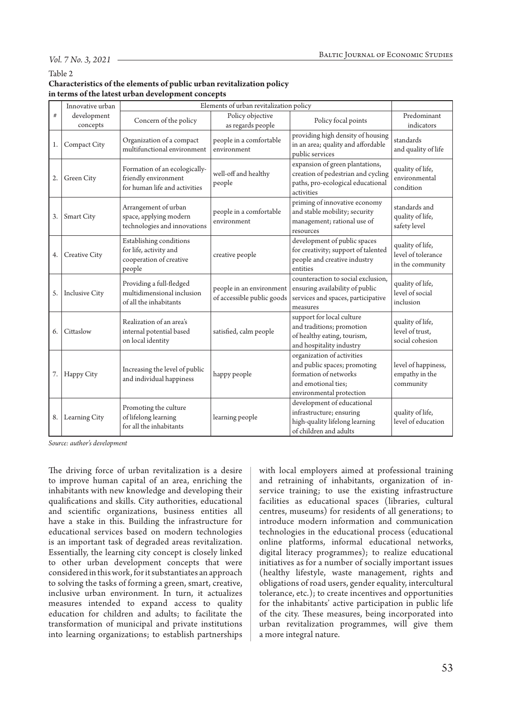#### *Vol. 7 No. 3, 2021*

#### Table 2

## **Characteristics of the elements of public urban revitalization policy in terms of the latest urban development concepts**

|    | Innovative urban        | Elements of urban revitalization policy                                                |                                                        |                                                                                                                                        |                                                            |
|----|-------------------------|----------------------------------------------------------------------------------------|--------------------------------------------------------|----------------------------------------------------------------------------------------------------------------------------------------|------------------------------------------------------------|
| #  | development<br>concepts | Concern of the policy                                                                  | Policy objective<br>as regards people                  | Policy focal points                                                                                                                    | Predominant<br>indicators                                  |
| 1. | Compact City            | Organization of a compact<br>multifunctional environment                               | people in a comfortable<br>environment                 | providing high density of housing<br>in an area; quality and affordable<br>public services                                             | standards<br>and quality of life                           |
| 2. | Green City              | Formation of an ecologically-<br>friendly environment<br>for human life and activities | well-off and healthy<br>people                         | expansion of green plantations,<br>creation of pedestrian and cycling<br>paths, pro-ecological educational<br>activities               | quality of life,<br>environmental<br>condition             |
| 3. | Smart City              | Arrangement of urban<br>space, applying modern<br>technologies and innovations         | people in a comfortable<br>environment                 | priming of innovative economy<br>and stable mobility; security<br>management; rational use of<br>resources                             | standards and<br>quality of life,<br>safety level          |
| 4. | Creative City           | Establishing conditions<br>for life, activity and<br>cooperation of creative<br>people | creative people                                        | development of public spaces<br>for creativity; support of talented<br>people and creative industry<br>entities                        | quality of life,<br>level of tolerance<br>in the community |
| 5. | <b>Inclusive City</b>   | Providing a full-fledged<br>multidimensional inclusion<br>of all the inhabitants       | people in an environment<br>of accessible public goods | counteraction to social exclusion,<br>ensuring availability of public<br>services and spaces, participative<br>measures                | quality of life,<br>level of social<br>inclusion           |
| 6. | Cittaslow               | Realization of an area's<br>internal potential based<br>on local identity              | satisfied, calm people                                 | support for local culture<br>and traditions; promotion<br>of healthy eating, tourism,<br>and hospitality industry                      | quality of life,<br>level of trust.<br>social cohesion     |
| 7. | Happy City              | Increasing the level of public<br>and individual happiness                             | happy people                                           | organization of activities<br>and public spaces; promoting<br>formation of networks<br>and emotional ties;<br>environmental protection | level of happiness,<br>empathy in the<br>community         |
| 8. | Learning City           | Promoting the culture<br>of lifelong learning<br>for all the inhabitants               | learning people                                        | development of educational<br>infrastructure; ensuring<br>high-quality lifelong learning<br>of children and adults                     | quality of life,<br>level of education                     |

*Source: author's development*

The driving force of urban revitalization is a desire to improve human capital of an area, enriching the inhabitants with new knowledge and developing their qualifications and skills. City authorities, educational and scientific organizations, business entities all have a stake in this. Building the infrastructure for educational services based on modern technologies is an important task of degraded areas revitalization. Essentially, the learning city concept is closely linked to other urban development concepts that were considered in this work, for it substantiates an approach to solving the tasks of forming a green, smart, creative, inclusive urban environment. In turn, it actualizes measures intended to expand access to quality education for children and adults; to facilitate the transformation of municipal and private institutions into learning organizations; to establish partnerships

with local employers aimed at professional training and retraining of inhabitants, organization of inservice training; to use the existing infrastructure facilities as educational spaces (libraries, cultural centres, museums) for residents of all generations; to introduce modern information and communication technologies in the educational process (educational online platforms, informal educational networks, digital literacy programmes); to realize educational initiatives as for a number of socially important issues (healthy lifestyle, waste management, rights and obligations of road users, gender equality, intercultural tolerance, etc.); to create incentives and opportunities for the inhabitants' active participation in public life of the city. These measures, being incorporated into urban revitalization programmes, will give them a more integral nature.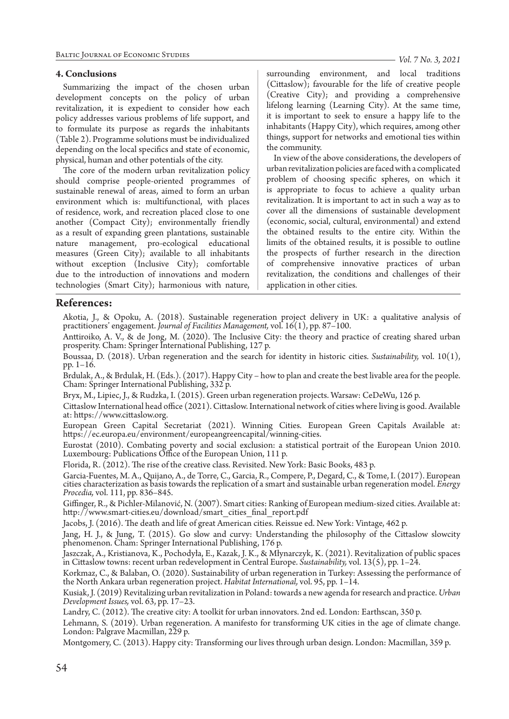### **4. Conclusions**

Summarizing the impact of the chosen urban development concepts on the policy of urban revitalization, it is expedient to consider how each policy addresses various problems of life support, and to formulate its purpose as regards the inhabitants (Table 2). Programme solutions must be individualized depending on the local specifics and state of economic, physical, human and other potentials of the city.

The core of the modern urban revitalization policy should comprise people-oriented programmes of sustainable renewal of areas, aimed to form an urban environment which is: multifunctional, with places of residence, work, and recreation placed close to one another (Compact City); environmentally friendly as a result of expanding green plantations, sustainable nature management, pro-ecological educational measures (Green City); available to all inhabitants without exception (Inclusive City); comfortable due to the introduction of innovations and modern technologies (Smart City); harmonious with nature,

surrounding environment, and local traditions (Cittaslow); favourable for the life of creative people (Creative City); and providing a comprehensive lifelong learning (Learning City). At the same time, it is important to seek to ensure a happy life to the inhabitants (Happy City), which requires, among other things, support for networks and emotional ties within the community.

In view of the above considerations, the developers of urban revitalization policies are faced with a complicated problem of choosing specific spheres, on which it is appropriate to focus to achieve a quality urban revitalization. It is important to act in such a way as to cover all the dimensions of sustainable development (economic, social, cultural, environmental) and extend the obtained results to the entire city. Within the limits of the obtained results, it is possible to outline the prospects of further research in the direction of comprehensive innovative practices of urban revitalization, the conditions and challenges of their application in other cities.

# **References:**

Akotia, J., & Opoku, A. (2018). Sustainable regeneration project delivery in UK: a qualitative analysis of practitioners' engagement. *Journal of Facilities Management,* vol. 16(1), pp. 87–100.

Anttiroiko, A. V., & de Jong, M. (2020). The Inclusive City: the theory and practice of creating shared urban prosperity. Cham: Springer International Publishing, 127 p.

Boussaa, D. (2018). Urban regeneration and the search for identity in historic cities. *Sustainability,* vol. 10(1), pp. 1–16.

Brdulak, A., & Brdulak, H. (Eds.). (2017). Happy City – how to plan and create the best livable area for the people. Cham: Springer International Publishing, 332 p.

Bryx, M., Lipiec, J., & Rudzka, I. (2015). Green urban regeneration projects. Warsaw: CeDeWu, 126 p.

Cittaslow International head office (2021). Cittaslow. International network of cities where living is good. Available at: https://www.cittaslow.org.

European Green Capital Secretariat (2021). Winning Cities. European Green Capitals Available at: https://ec.europa.eu/environment/europeangreencapital/winning-cities.

Eurostat (2010). Combating poverty and social exclusion: a statistical portrait of the European Union 2010. Luxembourg: Publications Office of the European Union, 111 p.

Florida, R. (2012). The rise of the creative class. Revisited. New York: Basic Books, 483 p.

Garcia-Fuentes, M. A., Quijano, A., de Torre, C., Garcia, R., Compere, P., Degard, C., & Tome, I. (2017). European cities characterization as basis towards the replication of a smart and sustainable urban regeneration model. *Energy Procedia,* vol. 111, pp. 836–845.

Giffinger, R., & Pichler-Milanović, N. (2007). Smart cities: Ranking of European medium-sized cities. Available at: http://www.smart-cities.eu/download/smart\_cities\_final\_report.pdf

Jacobs, J. (2016). The death and life of great American cities. Reissue ed. New York: Vintage, 462 p.

Jang, H. J., & Jung, T. (2015). Go slow and curvy: Understanding the philosophy of the Cittaslow slowcity phenomenon. Cham: Springer International Publishing, 176 p.

Jaszczak, A., Kristianova, K., Pochodyła, E., Kazak, J. K., & Młynarczyk, K. (2021). Revitalization of public spaces in Cittaslow towns: recent urban redevelopment in Central Europe. *Sustainability,* vol. 13(5), pp. 1–24.

Korkmaz, C., & Balaban, O. (2020). Sustainability of urban regeneration in Turkey: Assessing the performance of the North Ankara urban regeneration project. *Habitat International,* vol. 95, pp. 1–14.

Kusiak, J. (2019) Revitalizing urban revitalization in Poland: towards a new agenda for research and practice. *Urban Development Issues,* vol. 63, pp. 17–23.

Landry, C. (2012). The creative city: A toolkit for urban innovators. 2nd ed. London: Earthscan, 350 p.

Lehmann, S. (2019). Urban regeneration. A manifesto for transforming UK cities in the age of climate change. London: Palgrave Macmillan, 229 p.

Montgomery, C. (2013). Happy city: Transforming our lives through urban design. London: Macmillan, 359 p.